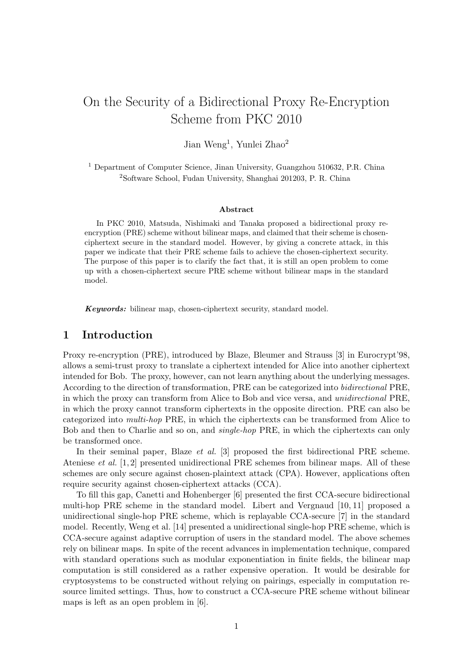# On the Security of a Bidirectional Proxy Re-Encryption Scheme from PKC 2010

Jian Weng<sup>1</sup>, Yunlei Zhao<sup>2</sup>

<sup>1</sup> Department of Computer Science, Jinan University, Guangzhou 510632, P.R. China <sup>2</sup>Software School, Fudan University, Shanghai 201203, P. R. China

#### **Abstract**

In PKC 2010, Matsuda, Nishimaki and Tanaka proposed a bidirectional proxy reencryption (PRE) scheme without bilinear maps, and claimed that their scheme is chosenciphertext secure in the standard model. However, by giving a concrete attack, in this paper we indicate that their PRE scheme fails to achieve the chosen-ciphertext security. The purpose of this paper is to clarify the fact that, it is still an open problem to come up with a chosen-ciphertext secure PRE scheme without bilinear maps in the standard model.

*Keywords:* bilinear map, chosen-ciphertext security, standard model.

### **1 Introduction**

Proxy re-encryption (PRE), introduced by Blaze, Bleumer and Strauss [3] in Eurocrypt'98, allows a semi-trust proxy to translate a ciphertext intended for Alice into another ciphertext intended for Bob. The proxy, however, can not learn anything about the underlying messages. According to the direction of transformation, PRE can be categorized into *bidirectional* PRE, in which the proxy can transform from Alice to Bob and vice versa, and *unidirectional* PRE, in which the proxy cannot transform ciphertexts in the opposite direction. PRE can also be categorized into *multi-hop* PRE, in which the ciphertexts can be transformed from Alice to Bob and then to Charlie and so on, and *single-hop* PRE, in which the ciphertexts can only be transformed once.

In their seminal paper, Blaze *et al.* [3] proposed the first bidirectional PRE scheme. Ateniese *et al.* [1, 2] presented unidirectional PRE schemes from bilinear maps. All of these schemes are only secure against chosen-plaintext attack (CPA). However, applications often require security against chosen-ciphertext attacks (CCA).

To fill this gap, Canetti and Hohenberger [6] presented the first CCA-secure bidirectional multi-hop PRE scheme in the standard model. Libert and Vergnaud [10, 11] proposed a unidirectional single-hop PRE scheme, which is replayable CCA-secure [7] in the standard model. Recently, Weng et al. [14] presented a unidirectional single-hop PRE scheme, which is CCA-secure against adaptive corruption of users in the standard model. The above schemes rely on bilinear maps. In spite of the recent advances in implementation technique, compared with standard operations such as modular exponentiation in finite fields, the bilinear map computation is still considered as a rather expensive operation. It would be desirable for cryptosystems to be constructed without relying on pairings, especially in computation resource limited settings. Thus, how to construct a CCA-secure PRE scheme without bilinear maps is left as an open problem in [6].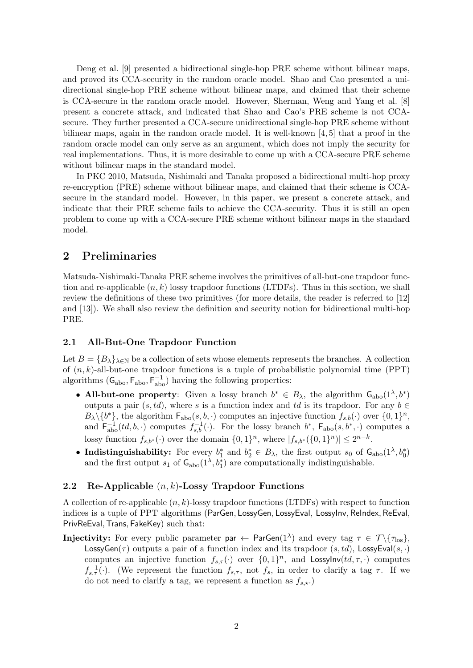Deng et al. [9] presented a bidirectional single-hop PRE scheme without bilinear maps, and proved its CCA-security in the random oracle model. Shao and Cao presented a unidirectional single-hop PRE scheme without bilinear maps, and claimed that their scheme is CCA-secure in the random oracle model. However, Sherman, Weng and Yang et al. [8] present a concrete attack, and indicated that Shao and Cao's PRE scheme is not CCAsecure. They further presented a CCA-secure unidirectional single-hop PRE scheme without bilinear maps, again in the random oracle model. It is well-known [4, 5] that a proof in the random oracle model can only serve as an argument, which does not imply the security for real implementations. Thus, it is more desirable to come up with a CCA-secure PRE scheme without bilinear maps in the standard model.

In PKC 2010, Matsuda, Nishimaki and Tanaka proposed a bidirectional multi-hop proxy re-encryption (PRE) scheme without bilinear maps, and claimed that their scheme is CCAsecure in the standard model. However, in this paper, we present a concrete attack, and indicate that their PRE scheme fails to achieve the CCA-security. Thus it is still an open problem to come up with a CCA-secure PRE scheme without bilinear maps in the standard model.

# **2 Preliminaries**

Matsuda-Nishimaki-Tanaka PRE scheme involves the primitives of all-but-one trapdoor function and re-applicable (*n, k*) lossy trapdoor functions (LTDFs). Thus in this section, we shall review the definitions of these two primitives (for more details, the reader is referred to [12] and [13]). We shall also review the definition and security notion for bidirectional multi-hop PRE.

#### **2.1 All-But-One Trapdoor Function**

Let  $B = {B_\lambda}_{\lambda \in \mathbb{N}}$  be a collection of sets whose elements represents the branches. A collection of (*n, k*)-all-but-one trapdoor functions is a tuple of probabilistic polynomial time (PPT) algorithms  $(G_{\text{abo}}, F_{\text{abo}}, F_{\text{abo}}^{-1})$  having the following properties:

- **All-but-one property**: Given a lossy branch  $b^* \in B_\lambda$ , the algorithm  $\mathsf{G}_{\text{abo}}(1^\lambda, b^*)$ outputs a pair  $(s, td)$ , where *s* is a function index and *td* is its trapdoor. For any  $b \in$  $B_{\lambda} \setminus \{b^*\}$ , the algorithm  $\mathsf{F}_{\text{abo}}(s, b, \cdot)$  computes an injective function  $f_{s,b}(\cdot)$  over  $\{0, 1\}^n$ , and  $\mathsf{F}_{\text{abo}}^{-1}(td, b, \cdot)$  computes  $f_{s,b}^{-1}(\cdot)$ . For the lossy branch  $b^*$ ,  $\mathsf{F}_{\text{abo}}(s, b^*, \cdot)$  computes a lossy function  $f_{s,b^*}(\cdot)$  over the domain  $\{0,1\}^n$ , where  $|f_{s,b^*}(\{0,1\}^n)| \leq 2^{n-k}$ .
- **Indistinguishability:** For every  $b_1^*$  and  $b_2^* \in B_\lambda$ , the first output  $s_0$  of  $\mathsf{G}_{\text{abo}}(1^\lambda, b_0^*)$ and the first output  $s_1$  of  $\mathsf{G}_{\text{abo}}(1^\lambda, b_1^*)$  are computationally indistinguishable.

#### **2.2 Re-Applicable** (*n, k*)**-Lossy Trapdoor Functions**

A collection of re-applicable (*n, k*)-lossy trapdoor functions (LTDFs) with respect to function indices is a tuple of PPT algorithms (ParGen*,* LossyGen*,* LossyEval, LossyInv*,* ReIndex*,* ReEval, PrivReEval*,*Trans*,* FakeKey) such that:

 $\bf{Injectivity:}$  For every public parameter  ${\sf par} \leftarrow {\sf ParGen}(1^\lambda)$  and every tag  $\tau \in {\cal T} \setminus \{\tau_{\rm los}\},$ LossyGen( $\tau$ ) outputs a pair of a function index and its trapdoor ( $s, td$ ), LossyEval( $s, \cdot$ ) computes an injective function  $f_{s,\tau}(\cdot)$  over  $\{0,1\}^n$ , and LossyInv $(td, \tau, \cdot)$  computes *f*<sub>*s*</sub>,*τ* (*·*). (We represent the function *f*<sub>*s*</sub>,*t*, not *f*<sub>*s*</sub>, in order to clarify a tag *τ*. If we do not need to clarify a tag, we represent a function as  $f_{s, \star}$ .)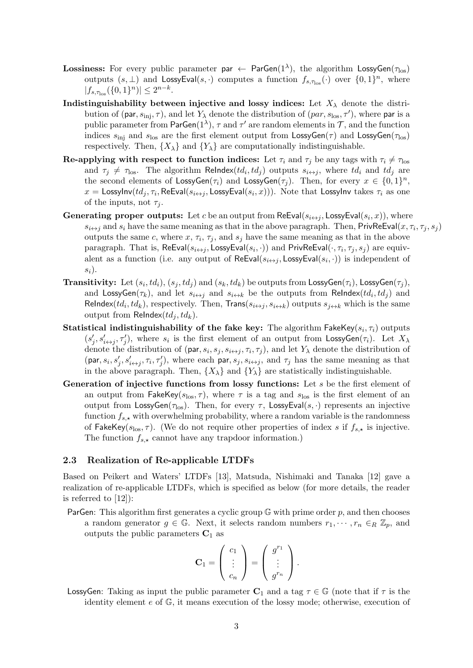- ${\rm Lossiness:}$  For every public parameter  ${\sf par} \leftarrow {\sf ParGen}(1^\lambda),$  the algorithm  ${\sf LossyGen}(\tau_{\rm los})$ outputs  $(s, \perp)$  and LossyEval $(s, \cdot)$  computes a function  $f_{s, \tau_{\text{los}}}(\cdot)$  over  $\{0, 1\}^n$ , where  $|f_{s,\tau_{\text{los}}}(\{0,1\}^n)| \leq 2^{n-k}.$
- **Indistinguishability between injective and lossy indices:** Let  $X_{\lambda}$  denote the distribution of (par,  $s_{\text{inj}}, \tau$ ), and let  $Y_{\lambda}$  denote the distribution of (*par*,  $s_{\text{los}}, \tau'$ ), where par is a public parameter from  $ParGen(1^{\lambda})$ ,  $\tau$  and  $\tau'$  are random elements in  $\mathcal{T}$ , and the function indices  $s_{\text{ini}}$  and  $s_{\text{los}}$  are the first element output from LossyGen( $\tau$ ) and LossyGen( $\tau_{\text{los}}$ ) respectively. Then,  $\{X_{\lambda}\}\$ and  $\{Y_{\lambda}\}\$ are computationally indistinguishable.
- **Re-applying with respect to function indices:** Let  $\tau_i$  and  $\tau_j$  be any tags with  $\tau_i \neq \tau_{\text{los}}$ and  $\tau_j \neq \tau_{\text{los}}$ . The algorithm ReIndex( $td_i, td_j$ ) outputs  $s_{i \leftrightarrow j}$ , where  $td_i$  and  $td_j$  are the second elements of  $\textsf{LossyGen}(\tau_i)$  and  $\textsf{LossyGen}(\tau_j)$ . Then, for every  $x \in \{0,1\}^n$ ,  $x =$  LossyInv( $td_j, \tau_i$ , ReEval( $s_{i \leftrightarrow j}$ , LossyEval( $s_i, x$ ))). Note that LossyInv takes  $\tau_i$  as one of the inputs, not  $\tau_i$ .
- **Generating proper outputs:** Let *c* be an output from ReEval( $s_{i\leftrightarrow j}$ , LossyEval( $s_i$ , *x*)), where *s*<sub>*i*+*j*</sub> and *s*<sub>*i*</sub> have the same meaning as that in the above paragraph. Then,  $\text{PrivReEval}(x, \tau_i, \tau_j, s_j)$ outputs the same *c*, where  $x$ ,  $\tau_i$ ,  $\tau_j$ , and  $s_j$  have the same meaning as that in the above paragraph. That is,  $\textsf{ReEval}(s_{i\leftrightarrow j}, \textsf{LossyEval}(s_i, \cdot))$  and  $\textsf{PrivReLU}(\cdot, \tau_i, \tau_j, s_j)$  are equivalent as a function (i.e. any output of  $\mathsf{ReEval}(s_{i \leftrightarrow j}, \mathsf{LossyEval}(s_i, \cdot))$  is independent of *si*).
- $\bf{Transitivity:} \ \ \mathrm{Let} \ (s_i, td_i), (s_j, td_j) \ \mathrm{and} \ (s_k, td_k) \ \mathrm{be \ outputs \ from \ LossyGen(\tau_i), \ LossyGen(\tau_j),}$ and  $\textsf{LossyGen}(\tau_k)$ , and let  $s_{i \leftrightarrow j}$  and  $s_{i \leftrightarrow k}$  be the outputs from ReIndex( $td_i, td_j$ ) and ReIndex( $td_i, td_k$ ), respectively. Then,  $Trans(s_{i\leftrightarrow j}, s_{i\leftrightarrow k})$  outputs  $s_{j\leftrightarrow k}$  which is the same output from ReIndex $(td_i,td_k)$ .
- $\bf Statistical~indistinguishability~of~the~fake~key:~The~algorithm~FakeKey(s_i, \tau_i)~outputs$  $(s'_j, s'_{i \leftrightarrow j}, \tau'_j)$ , where  $s_i$  is the first element of an output from LossyGen $(\tau_i)$ . Let  $X_\lambda$ denote the distribution of (par,  $s_i$ ,  $s_j$ ,  $s_{i \leftrightarrow j}$ ,  $\tau_i$ ,  $\tau_j$ ), and let  $Y_\lambda$  denote the distribution of  $(\text{par}, s_i, s'_j, s'_{i \leftrightarrow j}, \tau_i, \tau'_j),$  where each par,  $s_j, s_{i \leftrightarrow j}$ , and  $\tau_j$  has the same meaning as that in the above paragraph. Then,  $\{X_{\lambda}\}\$  and  $\{Y_{\lambda}\}\$ are statistically indistinguishable.
- **Generation of injective functions from lossy functions:** Let *s* be the first element of an output from FakeKey( $s_{\text{los}}, \tau$ ), where  $\tau$  is a tag and  $s_{\text{los}}$  is the first element of an output from LossyGen( $\tau$ <sub>los</sub>). Then, for every  $\tau$ , LossyEval( $s$ , ·) represents an injective function  $f_{s, \star}$  with overwhelming probability, where a random variable is the randomness of FakeKey( $s_{\text{los}}, \tau$ ). (We do not require other properties of index *s* if  $f_{s,\star}$  is injective. The function  $f_{s, \star}$  cannot have any trapdoor information.)

#### **2.3 Realization of Re-applicable LTDFs**

Based on Peikert and Waters' LTDFs [13], Matsuda, Nishimaki and Tanaka [12] gave a realization of re-applicable LTDFs, which is specified as below (for more details, the reader is referred to [12]):

ParGen: This algorithm first generates a cyclic group G with prime order *p*, and then chooses a random generator  $g \in \mathbb{G}$ . Next, it selects random numbers  $r_1, \dots, r_n \in_R \mathbb{Z}_p$ , and outputs the public parameters  $C_1$  as

$$
\mathbf{C}_1 = \left( \begin{array}{c} c_1 \\ \vdots \\ c_n \end{array} \right) = \left( \begin{array}{c} g^{r_1} \\ \vdots \\ g^{r_n} \end{array} \right).
$$

LossyGen: Taking as input the public parameter  $C_1$  and a tag  $\tau \in \mathbb{G}$  (note that if  $\tau$  is the identity element *e* of G, it means execution of the lossy mode; otherwise, execution of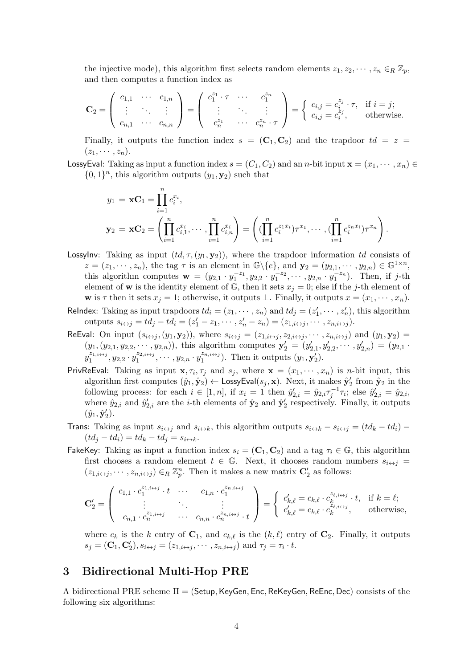the injective mode), this algorithm first selects random elements  $z_1, z_2, \dots, z_n \in_R \mathbb{Z}_p$ , and then computes a function index as

$$
\mathbf{C}_2 = \left( \begin{array}{ccc} c_{1,1} & \cdots & c_{1,n} \\ \vdots & \ddots & \vdots \\ c_{n,1} & \cdots & c_{n,n} \end{array} \right) = \left( \begin{array}{ccc} c_1^{z_1} \cdot \tau & \cdots & c_1^{z_n} \\ \vdots & \ddots & \vdots \\ c_n^{z_1} & \cdots & c_n^{z_n} \cdot \tau \end{array} \right) = \left\{ \begin{array}{ccc} c_{i,j} = c_i^{z_j} \cdot \tau, & \text{if } i = j; \\ c_{i,j} = c_i^{z_j}, & \text{otherwise.} \end{array} \right.
$$

Finally, it outputs the function index  $s = (\mathbf{C}_1, \mathbf{C}_2)$  and the trapdoor  $td = z$  $(z_1, \cdots, z_n).$ 

LossyEval: Taking as input a function index  $s = (C_1, C_2)$  and an *n*-bit input  $\mathbf{x} = (x_1, \dots, x_n) \in$  $\{0, 1\}$ <sup>n</sup>, this algorithm outputs  $(y_1, y_2)$  such that

$$
y_1 = \mathbf{x} \mathbf{C}_1 = \prod_{i=1}^n c_i^{x_i},
$$
  
\n
$$
\mathbf{y}_2 = \mathbf{x} \mathbf{C}_2 = \left( \prod_{i=1}^n c_{i,1}^{x_i}, \cdots, \prod_{i=1}^n c_{i,n}^{x_i} \right) = \left( (\prod_{i=1}^n c_i^{z_1 x_i}) \tau^{x_1}, \cdots, (\prod_{i=1}^n c_i^{z_n x_i}) \tau^{x_n} \right).
$$

- LossyInv: Taking as input  $(id, \tau, (y_1, y_2))$ , where the trapdoor information *td* consists of  $z=(z_1,\dots, z_n)$ , the tag  $\tau$  is an element in  $\mathbb{G}\backslash\{e\}$ , and  $\mathbf{y}_2=(y_{2,1},\dots, y_{2,n})\in\mathbb{G}^{1\times n}$ , this algorithm computes  $\mathbf{w} = (y_{2,1} \cdot y_1^{-z_1}, y_{2,2} \cdot y_1^{-z_2}, \cdots, y_{2,n} \cdot y_1^{-z_n}).$  Then, if j-th element of **w** is the identity element of  $\mathbb{G}$ , then it sets  $x_j = 0$ ; else if the *j*-th element of **w** is  $\tau$  then it sets  $x_j = 1$ ; otherwise, it outputs  $\bot$ . Finally, it outputs  $x = (x_1, \dots, x_n)$ .
- ReIndex: Taking as input trapdoors  $td_i = (z_1, \dots, z_n)$  and  $td_j = (z'_1, \dots, z'_n)$ , this algorithm outputs  $s_{i \leftrightarrow j} = td_j - td_i = (z'_1 - z_1, \cdots, z'_n - z_n) = (z_{1,i \leftrightarrow j}, \cdots, z_{n,i \leftrightarrow j}).$
- ReEval: On input  $(s_{i\leftrightarrow j}, (y_1, y_2))$ , where  $s_{i\leftrightarrow j} = (z_{1,i\leftrightarrow j}, z_{2,i\leftrightarrow j}, \cdots, z_{n,i\leftrightarrow j})$  and  $(y_1, y_2)$  $(y_1, (y_2, 1, y_2, ..., y_2, n))$ , this algorithm computes  $\mathbf{y}'_2 = (y'_{2,1}, y'_{2,2}, ..., y'_{2,n}) = (y_{2,1}$ .  $y_1^{z_{1,i\leftrightarrow j}}, y_{2,2} \cdot y_1^{z_{2,i\leftrightarrow j}}, \cdots, y_{2,n} \cdot y_1^{z_{n,i\leftrightarrow j}}$ ). Then it outputs  $(y_1, y_2')$ .
- PrivReEval: Taking as input  $\mathbf{x}, \tau_i, \tau_j$  and  $s_j$ , where  $\mathbf{x} = (x_1, \dots, x_n)$  is *n*-bit input, this algorithm first computes  $(\hat{y}_1, \hat{y}_2) \leftarrow \textsf{LossyEval}(s_j, \mathbf{x})$ . Next, it makes  $\hat{\mathbf{y}}'_2$  from  $\hat{\mathbf{y}}_2$  in the following process: for each  $i \in [1, n]$ , if  $x_i = 1$  then  $\hat{y}'_{2,i} = \hat{y}_{2,i} \tau_j^{-1} \tau_i$ ; else  $\hat{y}'_{2,i} = \hat{y}_{2,i}$ , where  $\hat{y}_{2,i}$  and  $\hat{y}'_{2,i}$  are the *i*-th elements of  $\hat{\mathbf{y}}_2$  and  $\hat{\mathbf{y}}'_2$  respectively. Finally, it outputs  $(\hat{y}_1, \hat{\mathbf{y}}'_2).$
- **Trans:** Taking as input  $s_{i\leftrightarrow j}$  and  $s_{i\leftrightarrow k}$ , this algorithm outputs  $s_{i\leftrightarrow k} s_{i\leftrightarrow j} = (td_k td_i)$  $(td_j - td_i) = td_k - td_j = s_{i \leftrightarrow k}.$
- FakeKey: Taking as input a function index  $s_i = (\mathbf{C}_1, \mathbf{C}_2)$  and a tag  $\tau_i \in \mathbb{G}$ , this algorithm first chooses a random element  $t \in \mathbb{G}$ . Next, it chooses random numbers  $s_{i \leftrightarrow j}$  $(z_{1,i\leftrightarrow j}, \dots, z_{n,i\leftrightarrow j}) \in_R \mathbb{Z}_p^n$ . Then it makes a new matrix  $\mathbf{C}'_2$  as follows:

$$
\mathbf{C}'_2 = \left( \begin{array}{ccc} c_{1,1} \cdot c_1^{z_{1,i \leftrightarrow j}} \cdot t & \cdots & c_{1,n} \cdot c_1^{z_{n,i \leftrightarrow j}} \\ \vdots & \ddots & \vdots \\ c_{n,1} \cdot c_n^{z_{1,i \leftrightarrow j}} & \cdots & c_{n,n} \cdot c_n^{z_{n,i \leftrightarrow j}} \cdot t \end{array} \right) = \left\{ \begin{array}{c} c'_{k,\ell} = c_{k,\ell} \cdot c_k^{z_{\ell,i \leftrightarrow j}} \cdot t, & \text{if } k = \ell; \\ c'_{k,\ell} = c_{k,\ell} \cdot c_k^{z_{\ell,i \leftrightarrow j}}, & \text{otherwise,} \end{array} \right.
$$

where  $c_k$  is the *k* entry of  $C_1$ , and  $c_{k,\ell}$  is the  $(k,\ell)$  entry of  $C_2$ . Finally, it outputs  $s_j = (\mathbf{C}_1, \mathbf{C}'_2), s_{i \leftrightarrow j} = (z_{1,i \leftrightarrow j}, \cdots, z_{n,i \leftrightarrow j})$  and  $\tau_j = \tau_i \cdot t$ .

# **3 Bidirectional Multi-Hop PRE**

A bidirectional PRE scheme Π = (Setup*,*KeyGen*,* Enc*,* ReKeyGen*,* ReEnc*,* Dec) consists of the following six algorithms: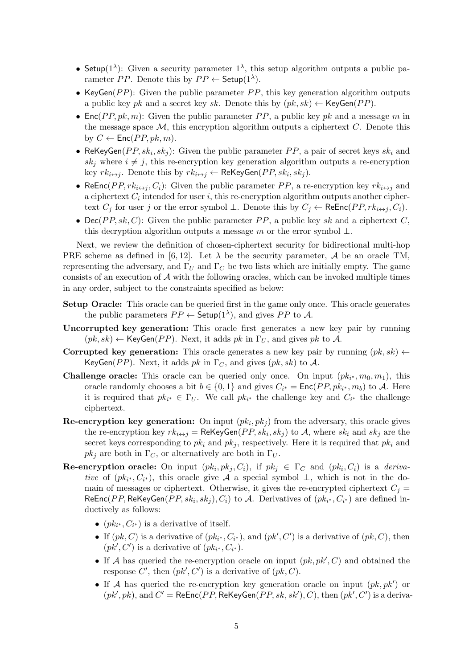- Setup( $1^{\lambda}$ ): Given a security parameter  $1^{\lambda}$ , this setup algorithm outputs a public parameter *PP*. Denote this by  $PP \leftarrow$  Setup $(1^{\lambda})$ .
- KeyGen(*PP*): Given the public parameter *PP*, this key generation algorithm outputs a public key *pk* and a secret key *sk*. Denote this by  $(pk, sk) \leftarrow \text{KeyGen}(PP)$ .
- Enc(*PP*,  $pk, m$ ): Given the public parameter *PP*, a public key  $pk$  and a message *m* in the message space  $M$ , this encryption algorithm outputs a ciphertext  $C$ . Denote this by  $C \leftarrow \textsf{Enc}(PP, pk, m)$ .
- ReKeyGen $(PP, sk_i, sk_j)$ : Given the public parameter  $PP$ , a pair of secret keys  $sk_i$  and  $sk_j$  where  $i \neq j$ , this re-encryption key generation algorithm outputs a re-encryption  $\text{key } rk_{i \leftrightarrow j}.$  Denote this by  $rk_{i \leftrightarrow j} \leftarrow \text{ReKeyGen}(PP, sk_i, sk_j).$
- ReEnc(*PP, rk*<sub>*i*<sup> $\leftrightarrow$ </sup>*j*</sub>, *C<sub>i</sub>*): Given the public parameter *PP*, a re-encryption key  $rk_{i\leftrightarrow j}$  and a ciphertext  $C_i$  intended for user  $i$ , this re-encryption algorithm outputs another ciphertext *C*<sup>*j*</sup> for user *j* or the error symbol ⊥. Denote this by  $C_j$  ← ReEnc( $PP, rk_{i\leftrightarrow j}, C_i$ ).
- Dec( $PP, sk, C$ ): Given the public parameter  $PP$ , a public key *sk* and a ciphertext  $C$ , this decryption algorithm outputs a message *m* or the error symbol *⊥*.

Next, we review the definition of chosen-ciphertext security for bidirectional multi-hop PRE scheme as defined in [6, 12]. Let  $\lambda$  be the security parameter,  $\mathcal A$  be an oracle TM, representing the adversary, and  $\Gamma_U$  and  $\Gamma_C$  be two lists which are initially empty. The game consists of an execution of *A* with the following oracles, which can be invoked multiple times in any order, subject to the constraints specified as below:

- **Setup Oracle:** This oracle can be queried first in the game only once. This oracle generates the public parameters  $PP \leftarrow$  Setup $(1^{\lambda})$ , and gives  $PP$  to A.
- **Uncorrupted key generation:** This oracle first generates a new key pair by running  $(pk, sk) \leftarrow \text{KeyGen}(PP)$ . Next, it adds *pk* in  $\Gamma_U$ , and gives *pk* to *A*.
- **Corrupted key generation:** This oracle generates a new key pair by running  $(pk, sk) \leftarrow$ KeyGen(*PP*). Next, it adds  $pk$  in  $\Gamma_C$ , and gives ( $pk, sk$ ) to A.
- **Challenge oracle:** This oracle can be queried only once. On input  $(pk_{i^*}, m_0, m_1)$ , this oracle randomly chooses a bit  $b \in \{0, 1\}$  and gives  $C_{i^*} = \text{Enc}(PP, pk_{i^*}, m_b)$  to A. Here it is required that  $pk_{i^*} \in \Gamma_U$ . We call  $pk_{i^*}$  the challenge key and  $C_{i^*}$  the challenge ciphertext.
- **Re-encryption key generation:** On input  $(pk_i, pk_j)$  from the adversary, this oracle gives the re-encryption key  $rk_{i\leftrightarrow j} = \textsf{ReKeyGen}(PP, sk_i, sk_j)$  to  $A$ , where  $sk_i$  and  $sk_j$  are the secret keys corresponding to  $pk_i$  and  $pk_j$ , respectively. Here it is required that  $pk_i$  and  $pk_j$  are both in  $\Gamma_C$ , or alternatively are both in  $\Gamma_U$ .
- **Re-encryption oracle:** On input  $(pk_i, pk_j, C_i)$ , if  $pk_j \in \Gamma_C$  and  $(pk_i, C_i)$  is a *derivative* of  $(pk_{i^*}, C_{i^*})$ , this oracle give *A* a special symbol  $\perp$ , which is not in the domain of messages or ciphertext. Otherwise, it gives the re-encrypted ciphertext  $C_i$ ReEnc(*PP*, ReKeyGen(*PP*, sk<sub>*i*</sub>, sk<sub>*j*</sub>), C<sub>*i*</sub>) to A. Derivatives of ( $pk_{i^*}$ ,  $C_{i^*}$ ) are defined inductively as follows:
	- $(pk_{i^*}, C_{i^*})$  is a derivative of itself.
	- If  $(pk, C)$  is a derivative of  $(pk_i^*, C_{i^*})$ , and  $(pk', C')$  is a derivative of  $(pk, C)$ , then  $(pk', C')$  is a derivative of  $(pk_{i^*}, C_{i^*})$ .
	- *•* If *A* has queried the re-encryption oracle on input (*pk, pk′ , C*) and obtained the response C', then  $(pk', C')$  is a derivative of  $(pk, C)$ .
	- *•* If *A* has queried the re-encryption key generation oracle on input (*pk, pk′* ) or  $(pk', pk)$ , and  $C' = \mathsf{ReEnc}(PP, \mathsf{ReKeyGen}(PP, sk, sk'), C)$ , then  $(pk', C')$  is a deriva-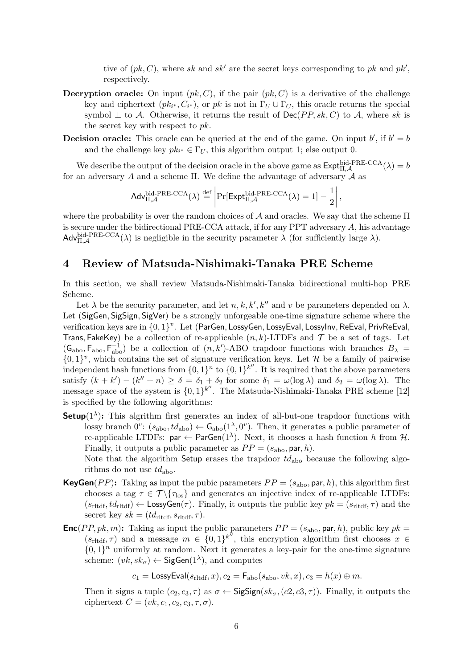tive of (*pk, C*), where *sk* and *sk′* are the secret keys corresponding to *pk* and *pk′* , respectively.

- **Decryption oracle:** On input  $(pk, C)$ , if the pair  $(pk, C)$  is a derivative of the challenge key and ciphertext  $(pk_{i^*}, C_{i^*})$ , or  $pk$  is not in  $\Gamma_U \cup \Gamma_C$ , this oracle returns the special symbol  $\perp$  to *A*. Otherwise, it returns the result of Dec(*PP, sk, C*) to *A*, where *sk* is the secret key with respect to *pk*.
- **Decision oracle:** This oracle can be queried at the end of the game. On input  $b'$ , if  $b' = b$ and the challenge key  $pk_{i^*} \in \Gamma_U$ , this algorithm output 1; else output 0.

We describe the output of the decision oracle in the above game as  $\text{Expth}_{\Pi,\mathcal{A}}^{\text{bid-PRE-CCA}}(\lambda) = b$ for an adversary *A* and a scheme Π. We define the advantage of adversary *A* as

$$
\mathsf{Adv}_{\Pi,\mathcal{A}}^{\mathsf{bid-PRE-CCA}}(\lambda) \stackrel{\text{def}}{=} \left| \Pr[\mathsf{Expt}_{\Pi,\mathcal{A}}^{\mathsf{bid-PRE-CCA}}(\lambda) = 1] - \frac{1}{2} \right|,
$$

where the probability is over the random choices of *A* and oracles. We say that the scheme Π is secure under the bidirectional PRE-CCA attack, if for any PPT adversary *A*, his advantage  $\mathsf{Adv}_{\Pi,\mathcal{A}}^{\mathsf{bid-PRE-CCA}}(\lambda)$  is negligible in the security parameter  $\lambda$  (for sufficiently large  $\lambda$ ).

## **4 Review of Matsuda-Nishimaki-Tanaka PRE Scheme**

In this section, we shall review Matsuda-Nishimaki-Tanaka bidirectional multi-hop PRE Scheme.

Let  $\lambda$  be the security parameter, and let  $n, k, k', k''$  and  $v$  be parameters depended on  $\lambda$ . Let (SigGen*,* SigSign*,* SigVer) be a strongly unforgeable one-time signature scheme where the verification keys are in *{*0*,* 1*} v* . Let (ParGen*,* LossyGen*,* LossyEval*,* LossyInv*,* ReEval*,* PrivReEval, Trans, FakeKey) be a collection of re-applicable  $(n, k)$ -LTDFs and  $\mathcal T$  be a set of tags. Let  $(G_{\text{abo}}, F_{\text{abo}}^{-1})$  be a collection of  $(n, k')$ -ABO trapdoor functions with branches  $B_{\lambda}$  =  $\{0,1\}^v$ , which contains the set of signature verification keys. Let *H* be a family of pairwise independent hash functions from  $\{0,1\}^n$  to  $\{0,1\}^{k''}$ . It is required that the above parameters satisfy  $(k + k') - (k'' + n) \ge \delta = \delta_1 + \delta_2$  for some  $\delta_1 = \omega(\log \lambda)$  and  $\delta_2 = \omega(\log \lambda)$ . The message space of the system is *{*0*,* 1*} k ′′*. The Matsuda-Nishimaki-Tanaka PRE scheme [12] is specified by the following algorithms:

**Setup**( $1^{\lambda}$ ): This algrithm first generates an index of all-but-one trapdoor functions with lossy branch  $0^v$ :  $(s_{\text{abo}}, td_{\text{abo}}) \leftarrow \mathsf{G}_{\text{abo}}(1^{\lambda}, 0^v)$ . Then, it generates a public parameter of re-applicable LTDFs:  $par \leftarrow ParGen(1^{\lambda})$ . Next, it chooses a hash function *h* from  $H$ . Finally, it outputs a public parameter as  $PP = (s_{\text{abo}}, \text{par}, h)$ . Note that the algorithm Setup erases the trapdoor *td*abo because the following algo-

rithms do not use *td*abo.

- **KeyGen**(*PP*): Taking as input the pubic parameters  $PP = (s_{\text{abo}}, \text{par}, h)$ , this algorithm first chooses a tag  $\tau \in \mathcal{T} \setminus \{\tau_{\text{los}}\}$  and generates an injective index of re-applicable LTDFs:  $(s_{\text{rltdf}}, td_{\text{rltdf}}) \leftarrow \text{LossyGen}(\tau)$ . Finally, it outputs the public key  $pk = (s_{\text{rltdf}}, \tau)$  and the secret key  $sk = (td_{\text{rltdf}}, s_{\text{rltdf}}, \tau)$ .
- **Enc**(*PP, pk, m*): Taking as input the public parameters  $PP = (s_{\text{abo}}, \text{par}, h)$ , public key  $pk =$  $(s_{\text{rltdf}}, \tau)$  and a message  $m \in \{0,1\}^{k''}$ , this encryption algorithm first chooses  $x \in$  $\{0,1\}$ <sup>n</sup> uniformly at random. Next it generates a key-pair for the one-time signature scheme:  $(vk, sk_{\sigma}) \leftarrow$  SigGen(1<sup> $\lambda$ </sup>), and computes

 $c_1 =$  LossyEval( $s_{\text{rliff}}, x$ ),  $c_2 =$   $\mathsf{F}_{\text{abo}}(s_{\text{abo}}, vk, x)$ ,  $c_3 = h(x) \oplus m$ .

Then it signs a tuple  $(c_2, c_3, \tau)$  as  $\sigma \leftarrow$  SigSign $(s k_{\sigma}, (c_2, c_3, \tau))$ . Finally, it outputs the ciphertext  $C = (vk, c_1, c_2, c_3, \tau, \sigma).$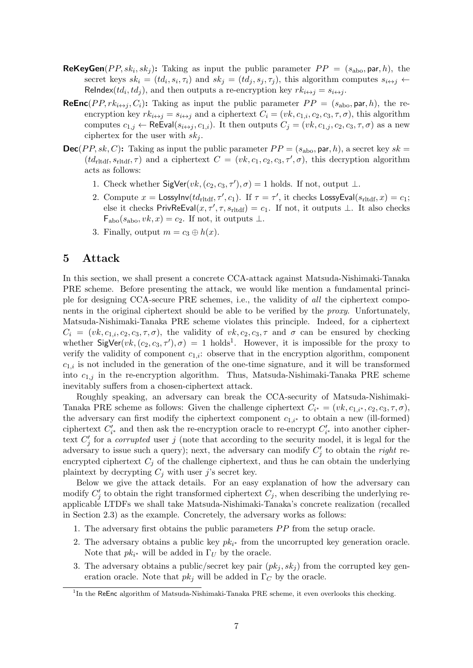- **ReKeyGen**(*PP*,  $sk_i$ ,  $sk_j$ ): Taking as input the public parameter  $PP = (s_{\text{abo}}, \text{par}, h)$ , the secret keys  $sk_i = (td_i, s_i, \tau_i)$  and  $sk_j = (td_j, s_j, \tau_j)$ , this algorithm computes  $s_{i \leftrightarrow j} \leftarrow$ ReIndex( $td_i, td_j$ ), and then outputs a re-encryption key  $rk_{i \leftrightarrow j} = s_{i \leftrightarrow j}$ .
- **ReEnc**(*PP, rk*<sub>*i* $\leftrightarrow$ *j*</sub>, *C<sub>i</sub>*): Taking as input the public parameter *PP* = ( $s_{\text{abo}}$ , par, h), the reencryption key  $rk_{i \leftrightarrow j} = s_{i \leftrightarrow j}$  and a ciphertext  $C_i = (vk, c_{1,i}, c_2, c_3, \tau, \sigma)$ , this algorithm computes  $c_{1,j} \leftarrow \text{ReEval}(s_{i \leftrightarrow j}, c_{1,i})$ . It then outputs  $C_j = (vk, c_{1,j}, c_2, c_3, \tau, \sigma)$  as a new ciphertex for the user with  $sk<sub>j</sub>$ .
- **Dec**(*PP*, sk, *C*): Taking as input the public parameter  $PP = (s_{\text{abo}}, \text{par}, h)$ , a secret key sk =  $(td_{\text{rltdf}}, s_{\text{rltdf}}, \tau)$  and a ciphertext  $C = (vk, c_1, c_2, c_3, \tau', \sigma)$ , this decryption algorithm acts as follows:
	- 1. Check whether  $\text{SigVer}(vk, (c_2, c_3, \tau'), \sigma) = 1$  holds. If not, output  $\perp$ .
	- 2. Compute  $x =$  LossyInv( $td_{\text{rltdf}}, \tau', c_1$ ). If  $\tau = \tau'$ , it checks LossyEval( $s_{\text{rltdf}}, x$ ) =  $c_1$ ; else it checks  ${\sf PrivateEval}(x, \tau', \tau, s_{\text{rliff}}) = c_1$ . If not, it outputs  $\bot$ . It also checks  $F_{\text{abo}}(s_{\text{abo}}, vk, x) = c_2$ . If not, it outputs  $\perp$ .
	- 3. Finally, output  $m = c_3 \oplus h(x)$ .

# **5 Attack**

In this section, we shall present a concrete CCA-attack against Matsuda-Nishimaki-Tanaka PRE scheme. Before presenting the attack, we would like mention a fundamental principle for designing CCA-secure PRE schemes, i.e., the validity of *all* the ciphertext components in the original ciphertext should be able to be verified by the *proxy*. Unfortunately, Matsuda-Nishimaki-Tanaka PRE scheme violates this principle. Indeed, for a ciphertext  $C_i = (vk, c_{1,i}, c_2, c_3, \tau, \sigma)$ , the validity of  $vk, c_2, c_3, \tau$  and  $\sigma$  can be ensured by checking whether  $\textsf{SigVer}(vk, (c_2, c_3, \tau'), \sigma) = 1 \text{ holds}^1$ . However, it is impossible for the proxy to verify the validity of component  $c_{1,i}$ : observe that in the encryption algorithm, component *c*1*,i* is not included in the generation of the one-time signature, and it will be transformed into *c*1*,j* in the re-encryption algorithm. Thus, Matsuda-Nishimaki-Tanaka PRE scheme inevitably suffers from a chosen-ciphertext attack.

Roughly speaking, an adversary can break the CCA-security of Matsuda-Nishimaki-Tanaka PRE scheme as follows: Given the challenge ciphertext  $C_{i^*} = (vk, c_{1,i^*}, c_2, c_3, \tau, \sigma)$ , the adversary can first modify the ciphertext component  $c_{1,i^*}$  to obtain a new (ill-formed) ciphertext  $C'_{i^*}$  and then ask the re-encryption oracle to re-encrypt  $C'_{i^*}$  into another ciphertext  $C'_{j}$  for a *corrupted* user *j* (note that according to the security model, it is legal for the adversary to issue such a query); next, the adversary can modify *C ′ j* to obtain the *right* reencrypted ciphertext  $C_j$  of the challenge ciphertext, and thus he can obtain the underlying plaintext by decrypting  $C_j$  with user *j*'s secret key.

Below we give the attack details. For an easy explanation of how the adversary can modify  $C'_{j}$  to obtain the right transformed ciphertext  $C_{j}$ , when describing the underlying reapplicable LTDFs we shall take Matsuda-Nishimaki-Tanaka's concrete realization (recalled in Section 2.3) as the example. Concretely, the adversary works as follows:

- 1. The adversary first obtains the public parameters *P P* from the setup oracle.
- 2. The adversary obtains a public key *pk<sup>i</sup> <sup>∗</sup>* from the uncorrupted key generation oracle. Note that  $pk_{i^*}$  will be added in  $\Gamma_U$  by the oracle.
- 3. The adversary obtains a public/secret key pair  $(pk_i, sk_i)$  from the corrupted key generation oracle. Note that  $pk_j$  will be added in  $\Gamma_C$  by the oracle.

<sup>&</sup>lt;sup>1</sup>In the ReEnc algorithm of Matsuda-Nishimaki-Tanaka PRE scheme, it even overlooks this checking.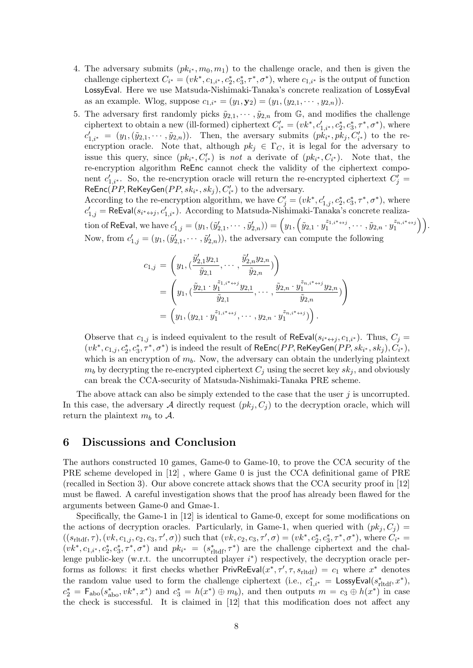- 4. The adversary submits  $(pk_{i^*}, m_0, m_1)$  to the challenge oracle, and then is given the challenge ciphertext  $C_{i^*} = (vk^*, c_{1,i^*}, c_2^*, c_3^*, \tau^*, \sigma^*)$ , where  $c_{1,i^*}$  is the output of function LossyEval. Here we use Matsuda-Nishimaki-Tanaka's concrete realization of LossyEval as an example. Wlog, suppose  $c_{1,i^*} = (y_1, \mathbf{y}_2) = (y_1, (y_{2,1}, \dots, y_{2,n}))$ .
- 5. The adversary first randomly picks  $\tilde{y}_{2,1}, \cdots, \tilde{y}_{2,n}$  from  $\mathbb{G}$ , and modifies the challenge ciphertext to obtain a new (ill-formed) ciphertext  $C'_{i^*} = (vk^*, c'_{1,i^*}, c^*_2, c^*_3, \tau^*, \sigma^*)$ , where  $c'_{1,i^*} = (y_1, (\tilde{y}_{2,1}, \cdots, \tilde{y}_{2,n}))$ . Then, the aversary submits  $(pk_{i^*}, pk_j, C'_{i^*})$  to the reencryption oracle. Note that, although  $pk_j \in \Gamma_C$ , it is legal for the adversary to issue this query, since  $(pk_{i^*}, C'_{i^*})$  is *not* a derivate of  $(pk_{i^*}, C_{i^*})$ . Note that, the re-encryption algorithm ReEnc cannot check the validity of the ciphertext component  $c'_{1,i^*}$ . So, the re-encryption oracle will return the re-encrypted ciphertext  $C'_j$  $\mathsf{ReEnc}(PP, \mathsf{ReKeyGen}(PP, sk_{i^*}, sk_j), C'_{i^*})$  to the adversary.

According to the re-encryption algorithm, we have  $C'_{j} = (vk^*, c'_{1,j}, c^*_2, c^*_3, \tau^*, \sigma^*)$ , where  $c'_{1,j}$  = ReEval( $s_{i^* \leftrightarrow j}, c'_{1,i^*}$ ). According to Matsuda-Nishimaki-Tanaka's concrete realization of ReEval, we have  $c_{1,j}'=(y_1,(\widetilde y_{2,1}',\cdots,\widetilde y_{2,n}'))=\Big(y_1,\Big(\widetilde y_{2,1}\cdot y_1^{z_{1,i^*}\leftrightarrow j},\cdots,\widetilde y_{2,n}\cdot y_1^{z_{n,i^*}\leftrightarrow j}\Big)\Big).$ Now, from  $c'_{1,j} = (y_1, (\tilde{y}'_{2,1}, \cdots, \tilde{y}'_{2,n}))$ , the adversary can compute the following

$$
c_{1,j} = \left(y_1, (\frac{\tilde{y}'_{2,1}y_{2,1}}{\tilde{y}_{2,1}}, \cdots, \frac{\tilde{y}'_{2,n}y_{2,n}}{\tilde{y}_{2,n}})\right)
$$
  
= 
$$
\left(y_1, (\frac{\tilde{y}_{2,1} \cdot y_1^{z_{1,i} * \leftrightarrow j} y_{2,1}}{\tilde{y}_{2,1}}, \cdots, \frac{\tilde{y}_{2,n} \cdot y_1^{z_{n,i} * \leftrightarrow j} y_{2,n}}{\tilde{y}_{2,n}})\right)
$$
  
= 
$$
\left(y_1, (y_{2,1} \cdot y_1^{z_{1,i} * \leftrightarrow j}, \cdots, y_{2,n} \cdot y_1^{z_{n,i} * \leftrightarrow j})\right).
$$

Observe that  $c_{1,j}$  is indeed equivalent to the result of ReEval( $s_{i^* \leftrightarrow j}, c_{1,i^*}$ ). Thus,  $C_j =$  $(vk^*,c_{1,j},c_2^*,c_3^*,\tau^*,\sigma^*)$  is indeed the result of  $\mathsf{ReEnc}(PP,\mathsf{ReKeyGen}(PP,sk_{i^*},sk_j),C_{i^*}),$ which is an encryption of  $m_b$ . Now, the adversary can obtain the underlying plaintext  $m_b$  by decrypting the re-encrypted ciphertext  $C_i$  using the secret key  $sk_i$ , and obviously can break the CCA-security of Matsuda-Nishimaki-Tanaka PRE scheme.

The above attack can also be simply extended to the case that the user *j* is uncorrupted. In this case, the adversary A directly request  $(pk_i, C_i)$  to the decryption oracle, which will return the plaintext  $m_b$  to  $\mathcal{A}$ .

# **6 Discussions and Conclusion**

The authors constructed 10 games, Game-0 to Game-10, to prove the CCA security of the PRE scheme developed in [12] , where Game 0 is just the CCA definitional game of PRE (recalled in Section 3). Our above concrete attack shows that the CCA security proof in [12] must be flawed. A careful investigation shows that the proof has already been flawed for the arguments between Game-0 and Gmae-1.

Specifically, the Game-1 in [12] is identical to Game-0, except for some modifications on the actions of decryption oracles. Particularly, in Game-1, when queried with  $(pk_i, C_i)$  =  $((s_{\text{rliff}},\tau),(vk,c_{1,j},c_2,c_3,\tau',\sigma))$  such that  $(vk,c_2,c_3,\tau',\sigma)=(vk^*,c_2^*,c_3^*,\tau^*,\sigma^*)$ , where  $C_{i^*}$  $(vk^*, c_{1,i^*}, c_2^*, c_3^*, \tau^*, \sigma^*)$  and  $pk_{i^*} = (s_{\text{rliff}}^*, \tau^*)$  are the challenge ciphertext and the challenge public-key (w.r.t. the uncorrupted player *i ∗* ) respectively, the decryption oracle performs as follows: it first checks whether  $Priv$ ReEval $(x^*, \tau', \tau, s_{\text{rltdf}}) = c_1$  where  $x^*$  denotes the random value used to form the challenge ciphertext (i.e.,  $c_{1,i^*}^* =$  LossyEval( $s_{\text{rltdf}}^*, x^*$ ),  $c_2^* = F_{\text{abo}}(s_{\text{abo}}^*, vk^*,x^*)$  and  $c_3^* = h(x^*) \oplus m_b$ , and then outputs  $m = c_3 \oplus h(x^*)$  in case the check is successful. It is claimed in [12] that this modification does not affect any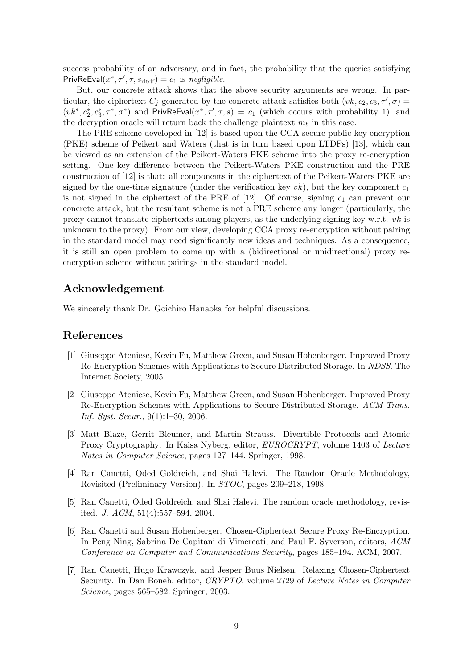success probability of an adversary, and in fact, the probability that the queries satisfying  $PrivReEval(x^*, \tau', \tau, s_{rltdf}) = c_1$  is  $negligible$ .

But, our concrete attack shows that the above security arguments are wrong. In particular, the ciphertext  $C_j$  generated by the concrete attack satisfies both  $(vk, c_2, c_3, \tau', \sigma) =$  $(vk^*, c_2^*, c_3^*, \tau^*, \sigma^*)$  and PrivReEval $(x^*, \tau', \tau, s) = c_1$  (which occurs with probability 1), and the decryption oracle will return back the challenge plaintext  $m_b$  in this case.

The PRE scheme developed in [12] is based upon the CCA-secure public-key encryption (PKE) scheme of Peikert and Waters (that is in turn based upon LTDFs) [13], which can be viewed as an extension of the Peikert-Waters PKE scheme into the proxy re-encryption setting. One key difference between the Peikert-Waters PKE construction and the PRE construction of [12] is that: all components in the ciphertext of the Peikert-Waters PKE are signed by the one-time signature (under the verification key  $vk$ ), but the key component  $c_1$ is not signed in the ciphertext of the PRE of [12]. Of course, signing  $c_1$  can prevent our concrete attack, but the resultant scheme is not a PRE scheme any longer (particularly, the proxy cannot translate ciphertexts among players, as the underlying signing key w.r.t. *vk* is unknown to the proxy). From our view, developing CCA proxy re-encryption without pairing in the standard model may need significantly new ideas and techniques. As a consequence, it is still an open problem to come up with a (bidirectional or unidirectional) proxy reencryption scheme without pairings in the standard model.

# **Acknowledgement**

We sincerely thank Dr. Goichiro Hanaoka for helpful discussions.

#### **References**

- [1] Giuseppe Ateniese, Kevin Fu, Matthew Green, and Susan Hohenberger. Improved Proxy Re-Encryption Schemes with Applications to Secure Distributed Storage. In *NDSS*. The Internet Society, 2005.
- [2] Giuseppe Ateniese, Kevin Fu, Matthew Green, and Susan Hohenberger. Improved Proxy Re-Encryption Schemes with Applications to Secure Distributed Storage. *ACM Trans. Inf. Syst. Secur.*, 9(1):1–30, 2006.
- [3] Matt Blaze, Gerrit Bleumer, and Martin Strauss. Divertible Protocols and Atomic Proxy Cryptography. In Kaisa Nyberg, editor, *EUROCRYPT*, volume 1403 of *Lecture Notes in Computer Science*, pages 127–144. Springer, 1998.
- [4] Ran Canetti, Oded Goldreich, and Shai Halevi. The Random Oracle Methodology, Revisited (Preliminary Version). In *STOC*, pages 209–218, 1998.
- [5] Ran Canetti, Oded Goldreich, and Shai Halevi. The random oracle methodology, revisited. *J. ACM*, 51(4):557–594, 2004.
- [6] Ran Canetti and Susan Hohenberger. Chosen-Ciphertext Secure Proxy Re-Encryption. In Peng Ning, Sabrina De Capitani di Vimercati, and Paul F. Syverson, editors, *ACM Conference on Computer and Communications Security*, pages 185–194. ACM, 2007.
- [7] Ran Canetti, Hugo Krawczyk, and Jesper Buus Nielsen. Relaxing Chosen-Ciphertext Security. In Dan Boneh, editor, *CRYPTO*, volume 2729 of *Lecture Notes in Computer Science*, pages 565–582. Springer, 2003.